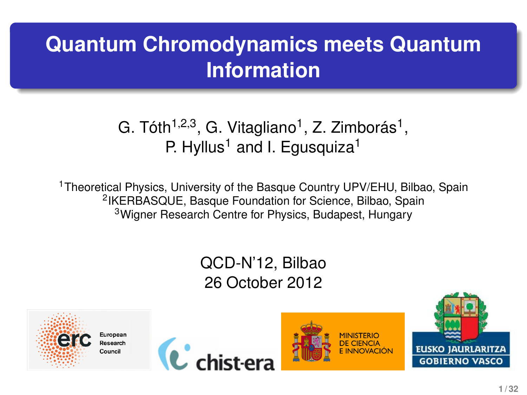# **Quantum Chromodynamics meets Quantum Information**

#### G. Tóth<sup>1,2,3</sup>, G. Vitagliano<sup>1</sup>, Z. Zimborás<sup>1</sup>, P. Hyllus<sup>1</sup> and I. Equsquiza<sup>1</sup>

<sup>1</sup> Theoretical Physics, University of the Basque Country UPV/EHU, Bilbao, Spain 2 IKERBASQUE, Basque Foundation for Science, Bilbao, Spain <sup>3</sup>Wigner Research Centre for Physics, Budapest, Hungary

#### QCD-N'12, Bilbao 26 October 2012

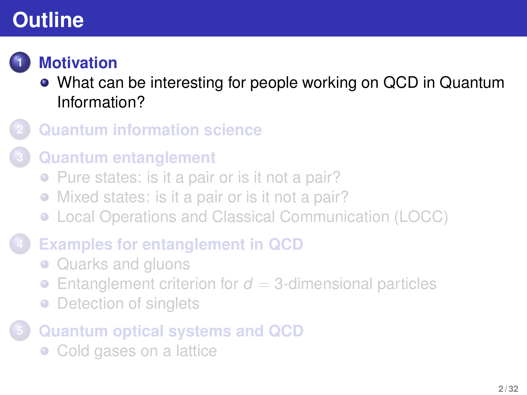

### **1 [Motivation](#page-1-0)**

- [What can be interesting for people working on QCD in Quantum](#page-1-0) [Information?](#page-1-0)
- **2 [Quantum information science](#page-3-0)**

#### **3 [Quantum entanglement](#page-5-0)**

- [Pure states: is it a pair or is it not a pair?](#page-5-0)
- [Mixed states: is it a pair or is it not a pair?](#page-9-0)
- [Local Operations and Classical Communication \(LOCC\)](#page-13-0)

### **4 [Examples for entanglement in QCD](#page-16-0)**

- [Quarks and gluons](#page-16-0)
- [Entanglement criterion for](#page-21-0)  $d = 3$ -dimensional particles  $\bullet$
- [Detection of singlets](#page-23-0)  $\bullet$

## **5 [Quantum optical systems and QCD](#page-27-0)**

<span id="page-1-0"></span>• [Cold gases on a lattice](#page-27-0)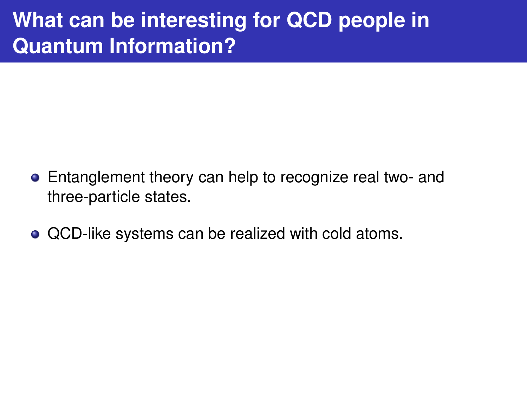## **What can be interesting for QCD people in Quantum Information?**

- **•** Entanglement theory can help to recognize real two- and three-particle states.
- QCD-like systems can be realized with cold atoms.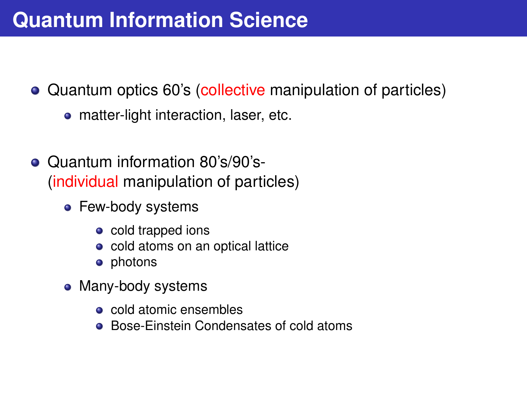## **Quantum Information Science**

- Quantum optics 60's (collective manipulation of particles)
	- matter-light interaction, laser, etc.
- <span id="page-3-0"></span>Quantum information 80's/90's- (individual manipulation of particles)
	- Few-body systems
		- cold trapped ions
		- cold atoms on an optical lattice
		- photons
	- Many-body systems
		- **o** cold atomic ensembles
		- Bose-Einstein Condensates of cold atoms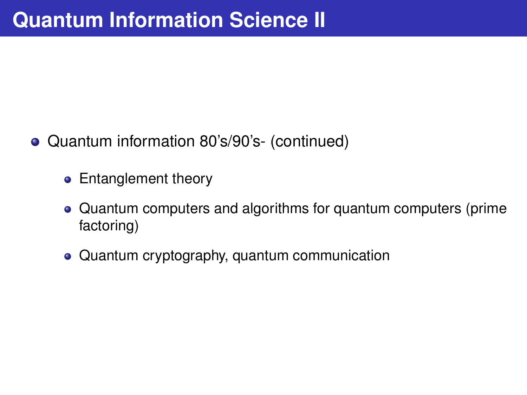- Quantum information 80's/90's- (continued)
	- Entanglement theory
	- Quantum computers and algorithms for quantum computers (prime factoring)
	- Quantum cryptography, quantum communication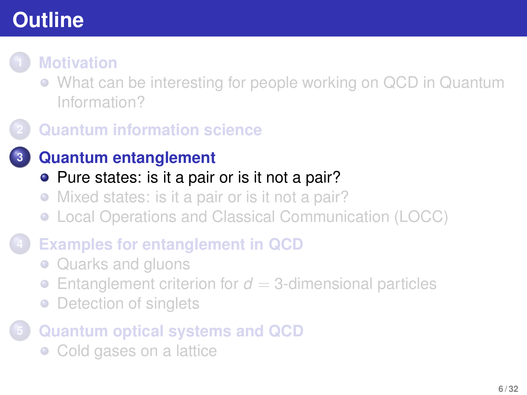

- [What can be interesting for people working on QCD in Quantum](#page-1-0) [Information?](#page-1-0)
- **2 [Quantum information science](#page-3-0)**
	- **3 [Quantum entanglement](#page-5-0)**
		- [Pure states: is it a pair or is it not a pair?](#page-5-0)
		- [Mixed states: is it a pair or is it not a pair?](#page-9-0)
		- [Local Operations and Classical Communication \(LOCC\)](#page-13-0)
- **4 [Examples for entanglement in QCD](#page-16-0)**
	- [Quarks and gluons](#page-16-0)
	- [Entanglement criterion for](#page-21-0)  $d = 3$ -dimensional particles  $\bullet$
	- [Detection of singlets](#page-23-0)  $\bullet$
- <span id="page-5-0"></span>**5 [Quantum optical systems and QCD](#page-27-0)**
	- [Cold gases on a lattice](#page-27-0)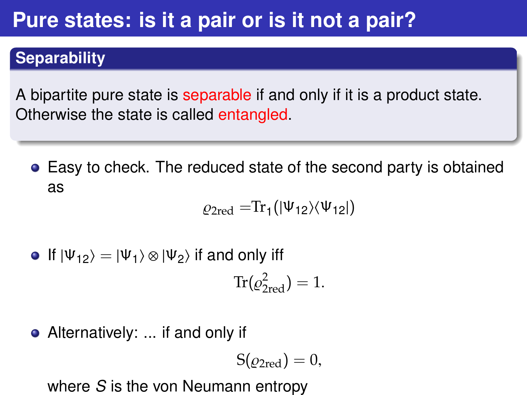## **Pure states: is it a pair or is it not a pair?**

#### **Separability**

A bipartite pure state is separable if and only if it is a product state. Otherwise the state is called entangled.

Easy to check. The reduced state of the second party is obtained as

$$
\varrho_{2\mathrm{red}} = \mathrm{Tr}_1(|\Psi_{12}\rangle\langle\Psi_{12}|)
$$

• If 
$$
|\Psi_{12}\rangle = |\Psi_1\rangle \otimes |\Psi_2\rangle
$$
 if and only iff

$$
\operatorname{Tr}(\varrho_{2\text{red}}^2)=1.
$$

• Alternatively: ... if and only if

$$
S(\varrho_{2\text{red}})=0,
$$

where *S* is the von Neumann entropy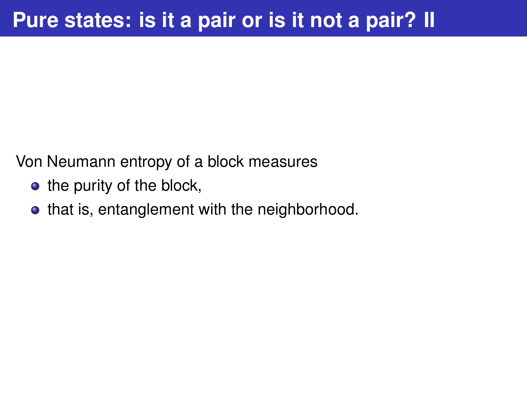Von Neumann entropy of a block measures

- $\bullet$  the purity of the block,
- that is, entanglement with the neighborhood.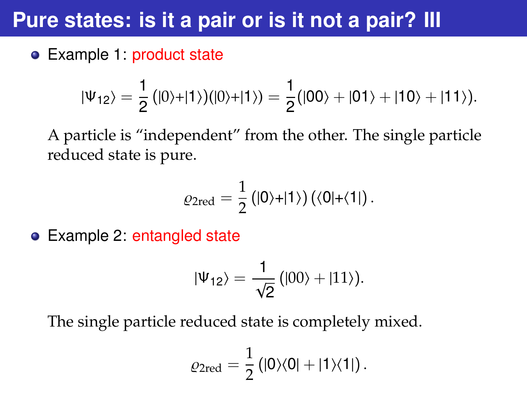## **Pure states: is it a pair or is it not a pair? III**

Example 1: product state

$$
|\Psi_{12}\rangle=\frac{1}{2}\big(|0\rangle+|1\rangle\big)(|0\rangle+|1\rangle)=\frac{1}{2}\big(|00\rangle+|01\rangle+|10\rangle+|11\rangle\big).
$$

A particle is "independent" from the other. The single particle reduced state is pure.

$$
\varrho_{2\mathrm{red}}=\frac{1}{2}\left(|0\rangle+|1\rangle\right)\left(\langle 0|+\langle 1|\right).
$$

Example 2: entangled state

$$
|\Psi_{12}\rangle=\frac{1}{\sqrt{2}}\left(|00\rangle+|11\rangle\right).
$$

The single particle reduced state is completely mixed.

$$
\varrho_{2\mathrm{red}}=\frac{1}{2}\left(|0\rangle\langle0|+|1\rangle\langle1|\right).
$$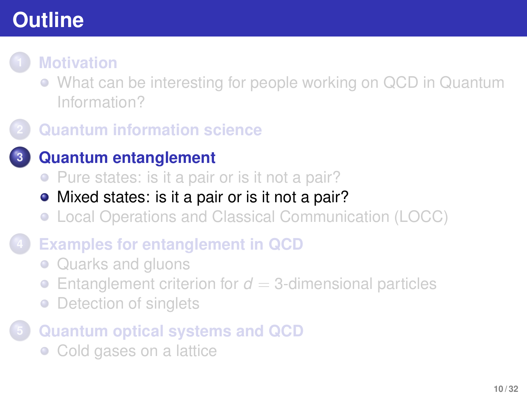- [What can be interesting for people working on QCD in Quantum](#page-1-0) [Information?](#page-1-0)
- **2 [Quantum information science](#page-3-0)**
	- **3 [Quantum entanglement](#page-5-0)**
		- [Pure states: is it a pair or is it not a pair?](#page-5-0)
		- [Mixed states: is it a pair or is it not a pair?](#page-9-0)
		- [Local Operations and Classical Communication \(LOCC\)](#page-13-0)
- **4 [Examples for entanglement in QCD](#page-16-0)**
	- [Quarks and gluons](#page-16-0)
	- [Entanglement criterion for](#page-21-0)  $d = 3$ -dimensional particles  $\bullet$
	- [Detection of singlets](#page-23-0)  $\bullet$
- <span id="page-9-0"></span>**5 [Quantum optical systems and QCD](#page-27-0)**
	- [Cold gases on a lattice](#page-27-0)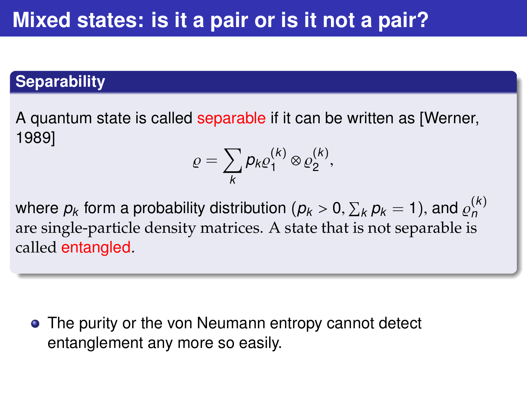#### **Separability**

A quantum state is called separable if it can be written as [Werner, 1989]

$$
\varrho=\sum_{k}p_{k}\varrho_{1}^{(k)}\otimes\varrho_{2}^{(k)},
$$

where  $p_k$  form a probability distribution  $(p_k > 0, \sum_k p_k = 1)$ , and  $\varrho_n^{(k)}$ <br>are single-particle density matrices. A state that is not separable is *n* are single-particle density matrices. A state that is not separable is called entangled*.*

• The purity or the von Neumann entropy cannot detect entanglement any more so easily.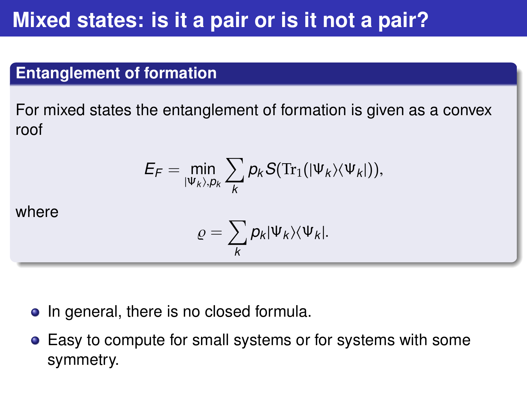## **Mixed states: is it a pair or is it not a pair?**

#### **Entanglement of formation**

For mixed states the entanglement of formation is given as a convex roof

$$
E_F = \min_{|\Psi_k\rangle, \rho_k} \sum_k \rho_k S(\text{Tr}_1(|\Psi_k\rangle\langle\Psi_k|)),
$$

where

$$
\varrho=\sum_{k}p_{k}|\Psi_{k}\rangle\langle\Psi_{k}|.
$$

- In general, there is no closed formula.
- Easy to compute for small systems or for systems with some symmetry.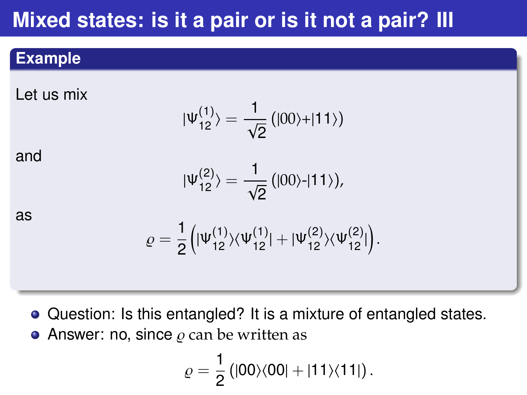## **Mixed states: is it a pair or is it not a pair? III**

#### **Example**

Let us mix

$$
|\Psi_{12}^{(1)}\rangle=\frac{1}{\sqrt{2}}\left(|00\rangle+|11\rangle\right)
$$

and

$$
|\Psi_{12}^{(2)}\rangle=\frac{1}{\sqrt{2}}\left(|00\rangle-|11\rangle\right),
$$

as

$$
\varrho = \frac{1}{2} \Big( |\Psi_{12}^{(1)}\rangle \langle \Psi_{12}^{(1)}| + |\Psi_{12}^{(2)}\rangle \langle \Psi_{12}^{(2)}|\Big).
$$

- Question: Is this entangled? It is a mixture of entangled states.
- Answer: no, since  $\rho$  can be written as

$$
\varrho=\frac{1}{2}\left(|00\rangle\langle00|+|11\rangle\langle11|\right).
$$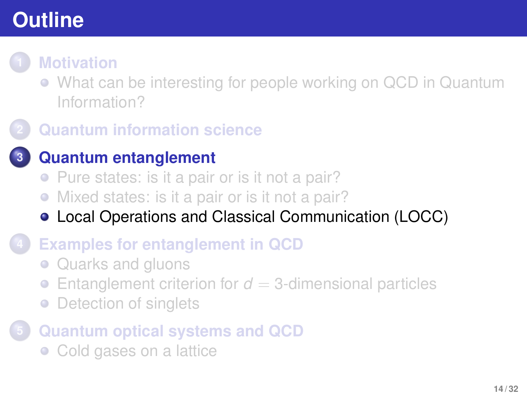

- [What can be interesting for people working on QCD in Quantum](#page-1-0) [Information?](#page-1-0)
- **2 [Quantum information science](#page-3-0)**

#### **3 [Quantum entanglement](#page-5-0)**

- [Pure states: is it a pair or is it not a pair?](#page-5-0)
- [Mixed states: is it a pair or is it not a pair?](#page-9-0)
- [Local Operations and Classical Communication \(LOCC\)](#page-13-0)
- **4 [Examples for entanglement in QCD](#page-16-0)**
	- [Quarks and gluons](#page-16-0)
	- [Entanglement criterion for](#page-21-0)  $d = 3$ -dimensional particles  $\bullet$
	- [Detection of singlets](#page-23-0)  $\bullet$
- <span id="page-13-0"></span>**5 [Quantum optical systems and QCD](#page-27-0)**
	- [Cold gases on a lattice](#page-27-0)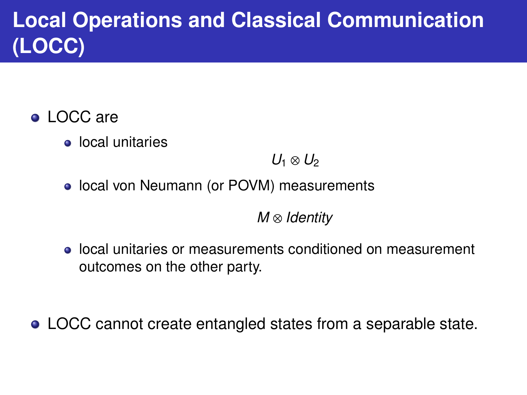# **Local Operations and Classical Communication (LOCC)**

- LOCC are
	- local unitaries

 $U_1$  ⊗  $U_2$ 

• local von Neumann (or POVM) measurements

*M* ⊗ *Identity*

local unitaries or measurements conditioned on measurement outcomes on the other party.

LOCC cannot create entangled states from a separable state.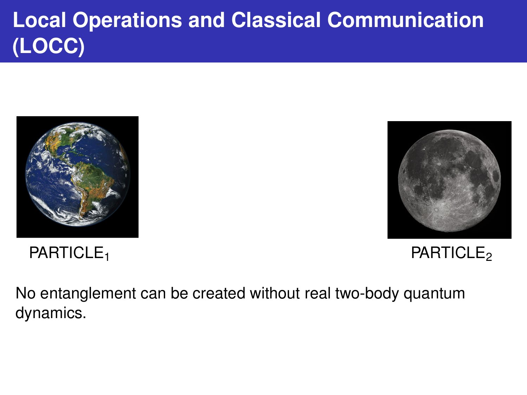# **Local Operations and Classical Communication (LOCC)**





PARTICLE<sub>1</sub> PARTICLE<sub>2</sub>

No entanglement can be created without real two-body quantum dynamics.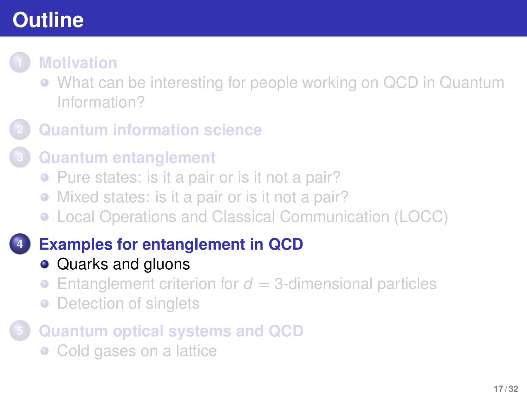[What can be interesting for people working on QCD in Quantum](#page-1-0) [Information?](#page-1-0)

### **2 [Quantum information science](#page-3-0)**

#### **3 [Quantum entanglement](#page-5-0)**

- [Pure states: is it a pair or is it not a pair?](#page-5-0)
- [Mixed states: is it a pair or is it not a pair?](#page-9-0)
- [Local Operations and Classical Communication \(LOCC\)](#page-13-0)

### **4 [Examples for entanglement in QCD](#page-16-0)**

- [Quarks and gluons](#page-16-0)
- [Entanglement criterion for](#page-21-0)  $d = 3$ -dimensional particles  $\bullet$
- [Detection of singlets](#page-23-0)  $\bullet$

## **5 [Quantum optical systems and QCD](#page-27-0)**

<span id="page-16-0"></span>• [Cold gases on a lattice](#page-27-0)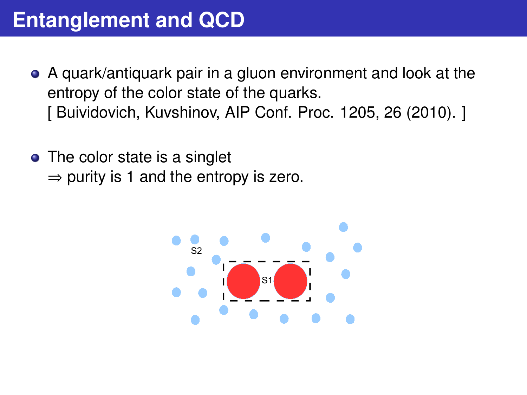## **Entanglement and QCD**

- A quark/antiquark pair in a gluon environment and look at the entropy of the color state of the quarks. [ Buividovich, Kuvshinov, AIP Conf. Proc. 1205, 26 (2010). ]
- The color state is a singlet  $\Rightarrow$  purity is 1 and the entropy is zero.

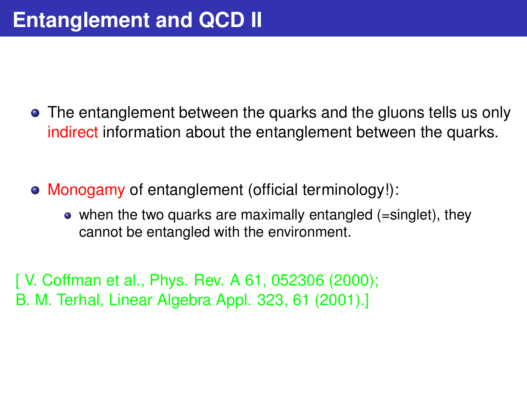- The entanglement between the quarks and the gluons tells us only indirect information about the entanglement between the quarks.
- Monogamy of entanglement (official terminology!):
	- when the two quarks are maximally entangled (=singlet), they cannot be entangled with the environment.

[ V. Coffman et al., Phys. Rev. A 61, 052306 (2000); B. M. Terhal, Linear Algebra Appl. 323, 61 (2001).]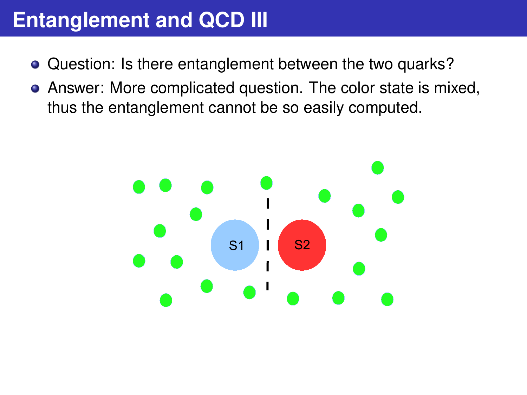## **Entanglement and QCD III**

- Question: Is there entanglement between the two quarks?
- Answer: More complicated question. The color state is mixed, thus the entanglement cannot be so easily computed.

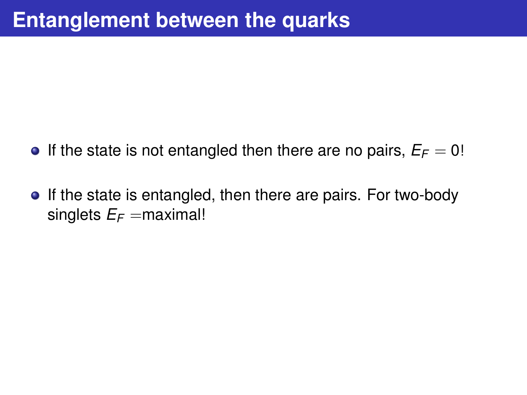- **If the state is not entangled then there are no pairs,**  $E_F = 0!$
- If the state is entangled, then there are pairs. For two-body singlets  $E_F =$  maximal!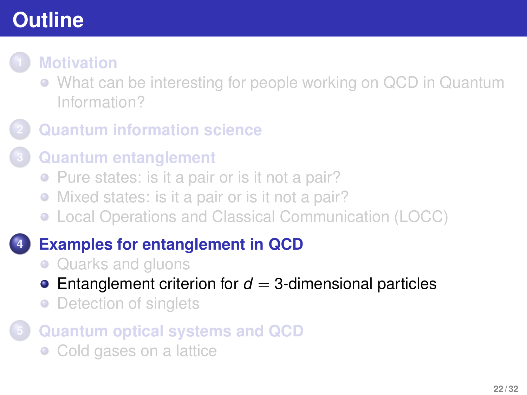- [What can be interesting for people working on QCD in Quantum](#page-1-0) [Information?](#page-1-0)
- **2 [Quantum information science](#page-3-0)**
	- **3 [Quantum entanglement](#page-5-0)**
		- [Pure states: is it a pair or is it not a pair?](#page-5-0)
		- [Mixed states: is it a pair or is it not a pair?](#page-9-0)
		- [Local Operations and Classical Communication \(LOCC\)](#page-13-0)

## **4 [Examples for entanglement in QCD](#page-16-0)**

- [Quarks and gluons](#page-16-0)
- **•** [Entanglement criterion for](#page-21-0)  $d = 3$ -dimensional particles
- <span id="page-21-0"></span>[Detection of singlets](#page-23-0)  $\bullet$
- **5 [Quantum optical systems and QCD](#page-27-0)**
	- [Cold gases on a lattice](#page-27-0)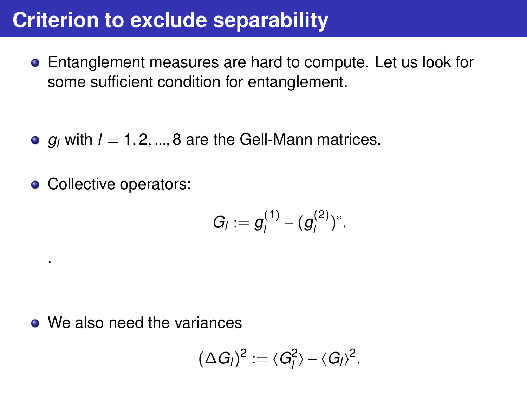## **Criterion to exclude separability**

- Entanglement measures are hard to compute. Let us look for some sufficient condition for entanglement.
- $q_i$  with  $l = 1, 2, ..., 8$  are the Gell-Mann matrices.
- Collective operators:

.

$$
G_I := g_I^{(1)} - (g_I^{(2)})^*.
$$

• We also need the variances

$$
(\Delta G_I)^2 := \langle G_I^2 \rangle - \langle G_I \rangle^2.
$$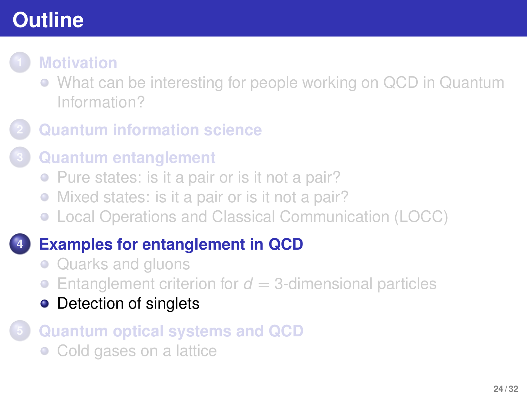[What can be interesting for people working on QCD in Quantum](#page-1-0) [Information?](#page-1-0)

### **2 [Quantum information science](#page-3-0)**

#### **3 [Quantum entanglement](#page-5-0)**

- [Pure states: is it a pair or is it not a pair?](#page-5-0)
- [Mixed states: is it a pair or is it not a pair?](#page-9-0)
- [Local Operations and Classical Communication \(LOCC\)](#page-13-0)

### **4 [Examples for entanglement in QCD](#page-16-0)**

- [Quarks and gluons](#page-16-0)
- [Entanglement criterion for](#page-21-0)  $d = 3$ -dimensional particles  $\bullet$
- [Detection of singlets](#page-23-0)

## **5 [Quantum optical systems and QCD](#page-27-0)**

<span id="page-23-0"></span>• [Cold gases on a lattice](#page-27-0)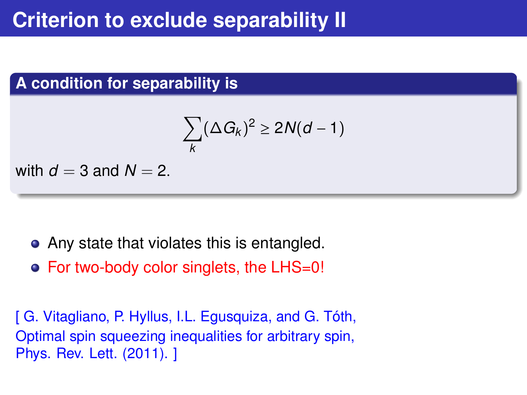#### **A condition for separability is**

$$
\sum_k (\Delta G_k)^2 \geq 2N(d-1)
$$

with  $d = 3$  and  $N = 2$ .

- Any state that violates this is entangled.
- For two-body color singlets, the LHS=0!

[ G. Vitagliano, P. Hyllus, I.L. Egusquiza, and G. Tóth, Optimal spin squeezing inequalities for arbitrary spin, Phys. Rev. Lett. (2011). ]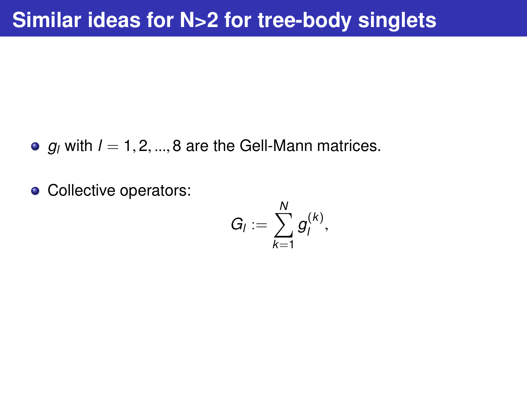- $q_i$  with  $l = 1, 2, ..., 8$  are the Gell-Mann matrices.
- Collective operators:

$$
G_I:=\sum_{k=1}^N g_I^{(k)},
$$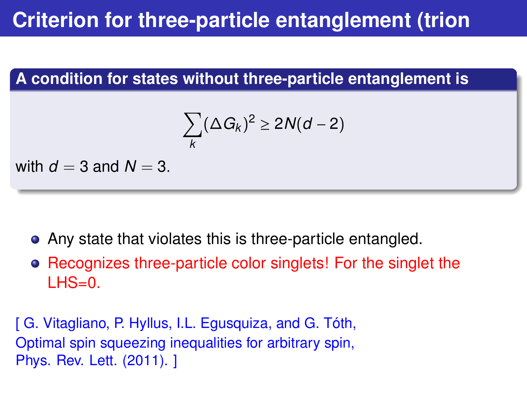## **Criterion for three-particle entanglement (trion**

#### **A condition for states without three-particle entanglement is**

$$
\sum_k (\Delta G_k)^2 \geq 2N(d-2)
$$

with  $d = 3$  and  $N = 3$ .

- Any state that violates this is three-particle entangled.
- Recognizes three-particle color singlets! For the singlet the  $LHS=0$ .

[ G. Vitagliano, P. Hyllus, I.L. Egusquiza, and G. Tóth, Optimal spin squeezing inequalities for arbitrary spin, Phys. Rev. Lett. (2011). ]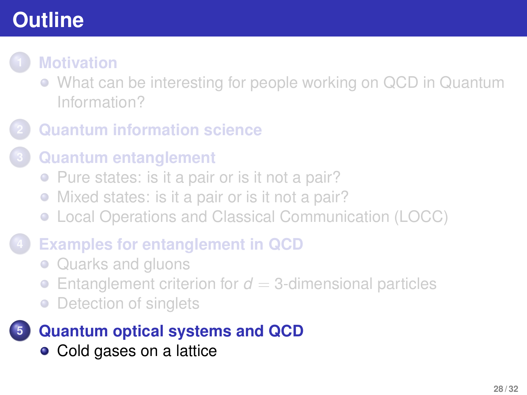[What can be interesting for people working on QCD in Quantum](#page-1-0) [Information?](#page-1-0)

#### **2 [Quantum information science](#page-3-0)**

- **3 [Quantum entanglement](#page-5-0)**
	- [Pure states: is it a pair or is it not a pair?](#page-5-0)
	- [Mixed states: is it a pair or is it not a pair?](#page-9-0)
	- [Local Operations and Classical Communication \(LOCC\)](#page-13-0)

#### **4 [Examples for entanglement in QCD](#page-16-0)**

- [Quarks and gluons](#page-16-0)
- [Entanglement criterion for](#page-21-0)  $d = 3$ -dimensional particles  $\bullet$
- [Detection of singlets](#page-23-0)  $\bullet$

## **5 [Quantum optical systems and QCD](#page-27-0)**

<span id="page-27-0"></span>• [Cold gases on a lattice](#page-27-0)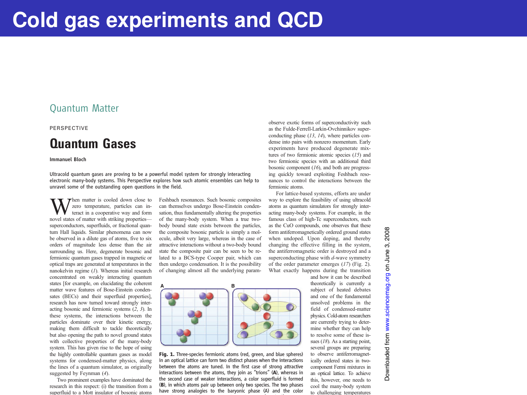#### Quantum Matter

#### PERSPECTIVE

#### Quantum Gases

#### Immanuel Bloch

Ultracold quantum gases are proving to be a powerful model system for strongly interacting electronic many-body systems. This Perspective explores how such atomic ensembles can help to unravel some of the outstanding open questions in the field.

Then matter is cooled down close to zero temperature, particles can interact in a cooperative way and form novel states of matter with striking properties superconductors, superfluids, or fractional quantum Hall liquids. Similar phenomena can now be observed in a dilute gas of atoms, five to six orders of magnitude less dense than the air surrounding us. Here, degenerate bosonic and fermionic quantum gases trapped in magnetic or optical traps are generated at temperatures in the nanokelvin regime (1). Whereas initial research concentrated on weakly interacting quantum states [for example, on elucidating the coherent matter wave features of Bose-Einstein condensates (BECs) and their superfluid properties], research has now turned toward strongly interacting bosonic and fermionic systems (2, 3). In these systems, the interactions between the particles dominate over their kinetic energy, making them difficult to tackle theoretically but also opening the path to novel ground states with collective properties of the many-body system. This has given rise to the hope of using the highly controllable quantum gases as model systems for condensed-matter physics, along the lines of a quantum simulator, as originally suggested by Feynman (4).

Two prominent examples have dominated the research in this respect: (i) the transition from a superfluid to a Mott insulator of bosonic atoms

Feshbach resonances. Such bosonic composites can themselves undergo Bose-Einstein condensation, thus fundamentally altering the properties of the many-body system. When a true twobody bound state exists between the particles, the composite bosonic particle is simply a molecule, albeit very large, whereas in the case of attractive interactions without a two-body bound state the composite pair can be seen to be related to a BCS-type Cooper pair, which can then undergo condensation. It is the possibility of changing almost all the underlying param-



Fig. 1. Three-species fermionic atoms (red, green, and blue spheres) in an optical lattice can form two distinct phases when the interactions between the atoms are tuned. In the first case of strong attractive interactions between the atoms, they join as "trions" (A), whereas in the second case of weaker interactions, a color superfluid is formed (B), in which atoms pair up between only two species. The two phases have strong analogies to the baryonic phase (A) and the color

observe exotic forms of superconductivity such as the Fulde-Ferrell-Larkin-Ovchinnikov superconducting phase (13, 14), where particles condense into pairs with nonzero momentum. Early experiments have produced degenerate mixtures of two fermionic atomic species (15) and two fermionic species with an additional third bosonic component (16), and both are progressing quickly toward exploiting Feshbach resonances to control the interactions between the fermionic atoms.

For lattice-based systems, efforts are under way to explore the feasibility of using ultracold atoms as quantum simulators for strongly interacting many-body systems. For example, in the famous class of high-Tc superconductors, such as the CuO compounds, one observes that these form antiferromagnetically ordered ground states when undoped. Upon doping, and thereby changing the effective filling in the system, the antiferromagnetic order is destroyed and a superconducting phase with d-wave symmetry of the order parameter emerges (17) (Fig. 2). What exactly happens during the transition

**and how it can be described** theoretically is currently a subject of heated debates and one of the fundamental unsolved problems in the field of condensed-matter physics. Cold-atom researchers are currently trying to determine whether they can help to resolve some of these issues (18). As a starting point several groups are preparing to observe antiferromagnetically ordered states in twocomponent Fermi mixtures in an optical lattice. To achieve this, however, one needs to cool the many-body system to challenging temperatures 2008 www.sciencemag.org on June 3, 2008 က် **June** ś ğ s Downloaded from ded from Jownloa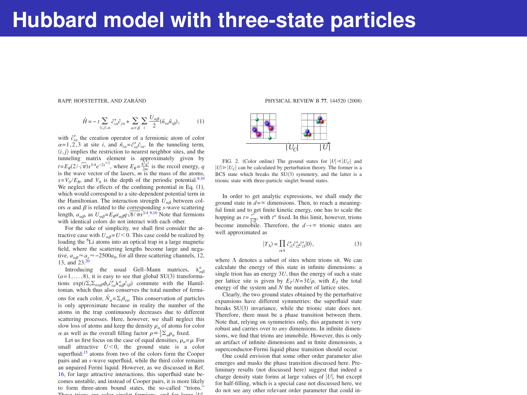RAPP, HOFSTETTER, AND ZARÁND **PHYSICAL REVIEW B 77**, 144520 (2008)

$$
\label{eq:hamiltonian} \hat{H}\!=\!-t\sum_{\langle i,j\rangle,\alpha}\hat{c}^+_{ia}\hat{c}_{ja}+\sum_{\alpha\neq\beta}\sum_{i}\frac{U_{\alpha\beta}}{2}(\hat{n}_{ia}\hat{n}_{i\beta}),\tag{1}
$$

with  $\hat{c}^*_{i\alpha}$  the creation operator of a fermionic atom of color  $\alpha = 1, 2, 3$  at site *i*, and  $\hat{n}_{i\alpha} = \hat{c}^*_{i\alpha} \hat{c}_{i\alpha}$ . In the tunneling term,  $(i, j)$  implies the restriction to nearest neighbor sites, and the tunneling matrix element is approximately given by  $t = E_R(2/\sqrt{\pi})s^{3/4}e^{-2s^{1/2}}$ , where  $E_R = \frac{\hbar^2q^2}{2m}$  is the recoil energy, *q* is the wave vector of the lasers,  $m$  is the mass of the atoms,  $s = V_0 / E_0$  and  $V_0$  is the depth of the periodic potential.<sup>9,10</sup> We neglect the effects of the confining potential in Eq.  $(1)$ , which would correspond to a site-dependent potential term in the Hamiltonian. The interaction strength  $\hat{U}_{\alpha\beta}$  between colors  $\alpha$  and  $\beta$  is related to the corresponding *s*-wave scattering length,  $a_{\alpha\beta}$ , as  $U_{\alpha\beta} = E_R a_{\alpha\beta} q \sqrt{8/\pi s}^{3/4}$ .<sup>9,10</sup> Note that fermions with identical colors do not interact with each other.

For the sake of simplicity, we shall first consider the attractive case with  $U_{\alpha\beta} = U \le 0$ . This case could be realized by loading the <sup>6</sup>Li atoms into an optical trap in a large magnetic field, where the scattering lengths become large and negative,  $a_{\alpha\beta} = a_s = -2500a_0$ , for all three scattering channels, 12, 13, and 23.

Introducing the usual Gell–Mann matrices,  $\lambda_{\alpha\beta}^a$  $(a=1,\ldots,8)$ , it is easy to see that global SU(3) transformations  $\exp(i\Sigma_i \Sigma_{a\alpha\beta} \phi_a \hat{c}_{ia}^* \lambda_{\alpha\beta}^a \hat{c}_{i\beta})$  commute with the Hamiltonian, which thus also conserves the total number of fermions for each color,  $\hat{N}_a = \sum \hat{m}_{ia}$ . This conservation of particles is only approximate because in reality the number of the atoms in the trap continuously decreases due to different scattering processes. Here, however, we shall neglect this slow loss of atoms and keep the density  $\rho_a$  of atoms for color  $\alpha$  as well as the overall filling factor  $\rho = \frac{1}{3} \sum_{\alpha} \rho_{\alpha}$  fixed.

Let us first focus on the case of equal densities,  $\rho_n = \rho$ . For small attractive  $U < 0$ , the ground state is a color superfluid:<sup>15</sup> atoms from two of the colors form the Cooper pairs and an *s*-wave superfluid, while the third color remains an unpaired Fermi liquid. However, as we discussed in Ref. 16, for large attractive interactions, this superfluid state becomes unstable, and instead of Cooper pairs, it is more likely to form three-atom bound states, the so-called "trions." These trions are color singlet fermions, and for large )*U*),



FIG. 2. (Color online) The ground states for  $|U| \ll |U_C|$  and  $|U| \ge |U_C|$  can be calculated by perturbation theory. The former is a BCS state which breaks the SU(3) symmetry, and the latter is a trionic state with three-particle singlet bound states.

In order to get analytic expressions, we shall study the ground state in  $d=0$  dimensions. Then, to reach a meaningful limit and to get finite kinetic energy, one has to scale the hopping as  $t = \frac{t^4}{\epsilon^2}$ , with  $t^*$  fixed. In this limit, however, trions  $\frac{2a}{2a}$ , the *d*  $\rightarrow \infty$  trionic states are<br>become immobile. Therefore, the  $d \rightarrow \infty$  trionic states are well approximated as

$$
|T_{\Lambda}\rangle = \prod_{i\epsilon\Lambda} \mathcal{E}_{i1}^* \mathcal{E}_{i2}^* \mathcal{E}_{i3}^* |0\rangle, \tag{3}
$$

where  $\Lambda$  denotes a subset of sites where trions sit. We can calculate the energy of this state in infinite dimensions: a single trion has an energy 3*U*, thus the energy of such a state per lattice site is given by  $E_T/N=3U\rho$ , with  $E_T$  the total energy of the system and *N* the number of lattice sites.

Clearly, the two ground states obtained by the perturbative expansions have different symmetries: the superfluid state breaks SU(3) invariance, while the trionic state does not. Therefore, there must be a phase transition between them. Note that, relying on symmetries only, this argument is very robust and carries over to *any* dimensions. In infinite dimensions, we find that trions are immobile. However, this is only an artifact of infinite dimensions and in finite dimensions, a superconductor-Fermi liquid phase transition should occur.

One could envision that some other order parameter also emerges and masks the phase transition discussed here. Preliminary results (not discussed here) suggest that indeed a charge density state forms at large values of |*U*|, but except for half-filling, which is a special case not discussed here, we do not see any other relevant order parameter that could intrude as a new phase. One could, in principal  $\mathcal{O}(\mathcal{A})$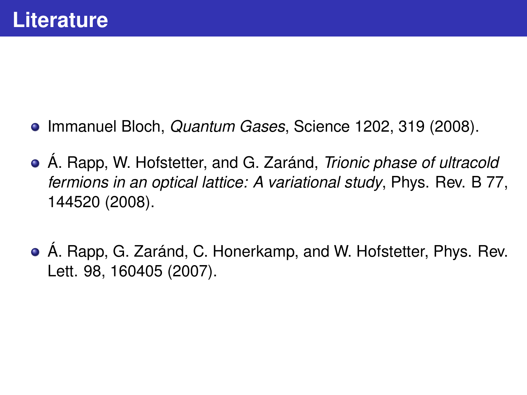- Immanuel Bloch, *Quantum Gases*, Science 1202, 319 (2008).
- Á. Rapp, W. Hofstetter, and G. Zaránd, *Trionic phase of ultracold fermions in an optical lattice: A variational study*, Phys. Rev. B 77, 144520 (2008).
- Á. Rapp, G. Zaránd, C. Honerkamp, and W. Hofstetter, Phys. Rev. Lett. 98, 160405 (2007).